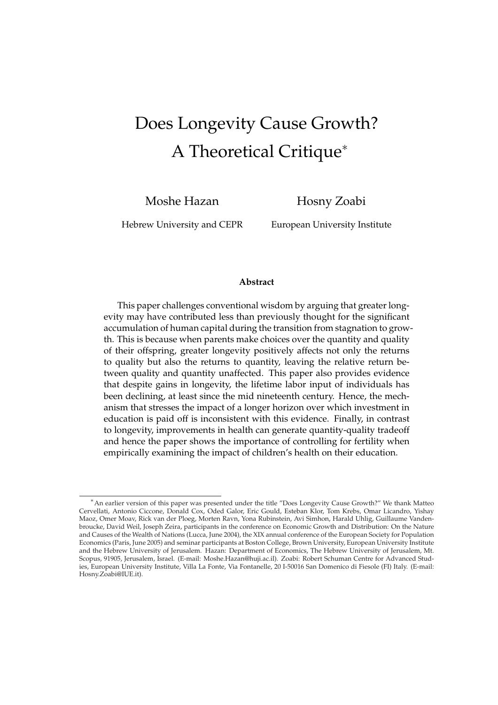# Does Longevity Cause Growth? A Theoretical Critique<sup>∗</sup>

Moshe Hazan

Hosny Zoabi

Hebrew University and CEPR

European University Institute

#### **Abstract**

This paper challenges conventional wisdom by arguing that greater longevity may have contributed less than previously thought for the significant accumulation of human capital during the transition from stagnation to growth. This is because when parents make choices over the quantity and quality of their offspring, greater longevity positively affects not only the returns to quality but also the returns to quantity, leaving the relative return between quality and quantity unaffected. This paper also provides evidence that despite gains in longevity, the lifetime labor input of individuals has been declining, at least since the mid nineteenth century. Hence, the mechanism that stresses the impact of a longer horizon over which investment in education is paid off is inconsistent with this evidence. Finally, in contrast to longevity, improvements in health can generate quantity-quality tradeoff and hence the paper shows the importance of controlling for fertility when empirically examining the impact of children's health on their education.

<sup>∗</sup>An earlier version of this paper was presented under the title "Does Longevity Cause Growth?" We thank Matteo Cervellati, Antonio Ciccone, Donald Cox, Oded Galor, Eric Gould, Esteban Klor, Tom Krebs, Omar Licandro, Yishay Maoz, Omer Moav, Rick van der Ploeg, Morten Ravn, Yona Rubinstein, Avi Simhon, Harald Uhlig, Guillaume Vandenbroucke, David Weil, Joseph Zeira, participants in the conference on Economic Growth and Distribution: On the Nature and Causes of the Wealth of Nations (Lucca, June 2004), the XIX annual conference of the European Society for Population Economics (Paris, June 2005) and seminar participants at Boston College, Brown University, European University Institute and the Hebrew University of Jerusalem. Hazan: Department of Economics, The Hebrew University of Jerusalem, Mt. Scopus, 91905, Jerusalem, Israel. (E-mail: Moshe.Hazan@huji.ac.il). Zoabi: Robert Schuman Centre for Advanced Studies, European University Institute, Villa La Fonte, Via Fontanelle, 20 I-50016 San Domenico di Fiesole (FI) Italy. (E-mail: Hosny.Zoabi@IUE.it).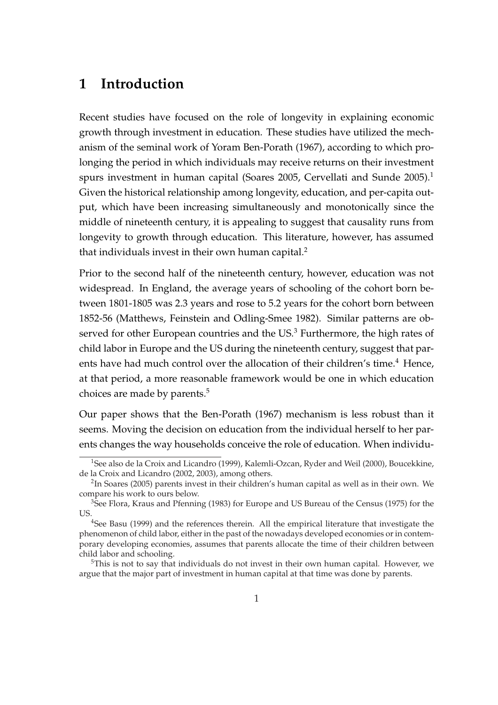## **1 Introduction**

Recent studies have focused on the role of longevity in explaining economic growth through investment in education. These studies have utilized the mechanism of the seminal work of Yoram Ben-Porath (1967), according to which prolonging the period in which individuals may receive returns on their investment spurs investment in human capital (Soares 2005, Cervellati and Sunde 2005).<sup>1</sup> Given the historical relationship among longevity, education, and per-capita output, which have been increasing simultaneously and monotonically since the middle of nineteenth century, it is appealing to suggest that causality runs from longevity to growth through education. This literature, however, has assumed that individuals invest in their own human capital.<sup>2</sup>

Prior to the second half of the nineteenth century, however, education was not widespread. In England, the average years of schooling of the cohort born between 1801-1805 was 2.3 years and rose to 5.2 years for the cohort born between 1852-56 (Matthews, Feinstein and Odling-Smee 1982). Similar patterns are observed for other European countries and the  $US^3$  Furthermore, the high rates of child labor in Europe and the US during the nineteenth century, suggest that parents have had much control over the allocation of their children's time.<sup>4</sup> Hence, at that period, a more reasonable framework would be one in which education choices are made by parents.<sup>5</sup>

Our paper shows that the Ben-Porath (1967) mechanism is less robust than it seems. Moving the decision on education from the individual herself to her parents changes the way households conceive the role of education. When individu-

<sup>&</sup>lt;sup>1</sup>See also de la Croix and Licandro (1999), Kalemli-Ozcan, Ryder and Weil (2000), Boucekkine, de la Croix and Licandro (2002, 2003), among others.

 $2$ In Soares (2005) parents invest in their children's human capital as well as in their own. We compare his work to ours below.

<sup>&</sup>lt;sup>3</sup>See Flora, Kraus and Pfenning (1983) for Europe and US Bureau of the Census (1975) for the US.

<sup>&</sup>lt;sup>4</sup>See Basu (1999) and the references therein. All the empirical literature that investigate the phenomenon of child labor, either in the past of the nowadays developed economies or in contemporary developing economies, assumes that parents allocate the time of their children between child labor and schooling.

<sup>&</sup>lt;sup>5</sup>This is not to say that individuals do not invest in their own human capital. However, we argue that the major part of investment in human capital at that time was done by parents.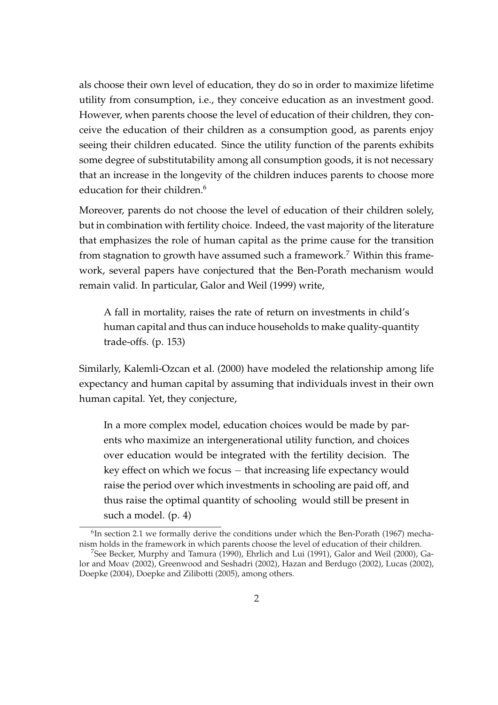als choose their own level of education, they do so in order to maximize lifetime utility from consumption, i.e., they conceive education as an investment good. However, when parents choose the level of education of their children, they conceive the education of their children as a consumption good, as parents enjoy seeing their children educated. Since the utility function of the parents exhibits some degree of substitutability among all consumption goods, it is not necessary that an increase in the longevity of the children induces parents to choose more education for their children.<sup>6</sup>

Moreover, parents do not choose the level of education of their children solely, but in combination with fertility choice. Indeed, the vast majority of the literature that emphasizes the role of human capital as the prime cause for the transition from stagnation to growth have assumed such a framework.<sup>7</sup> Within this framework, several papers have conjectured that the Ben-Porath mechanism would remain valid. In particular, Galor and Weil (1999) write,

A fall in mortality, raises the rate of return on investments in child's human capital and thus can induce households to make quality-quantity trade-offs. (p. 153)

Similarly, Kalemli-Ozcan et al. (2000) have modeled the relationship among life expectancy and human capital by assuming that individuals invest in their own human capital. Yet, they conjecture,

In a more complex model, education choices would be made by parents who maximize an intergenerational utility function, and choices over education would be integrated with the fertility decision. The key effect on which we focus − that increasing life expectancy would raise the period over which investments in schooling are paid off, and thus raise the optimal quantity of schooling would still be present in such a model. (p. 4)

 ${}^{6}$ In section 2.1 we formally derive the conditions under which the Ben-Porath (1967) mechanism holds in the framework in which parents choose the level of education of their children.

<sup>7</sup>See Becker, Murphy and Tamura (1990), Ehrlich and Lui (1991), Galor and Weil (2000), Galor and Moav (2002), Greenwood and Seshadri (2002), Hazan and Berdugo (2002), Lucas (2002), Doepke (2004), Doepke and Zilibotti (2005), among others.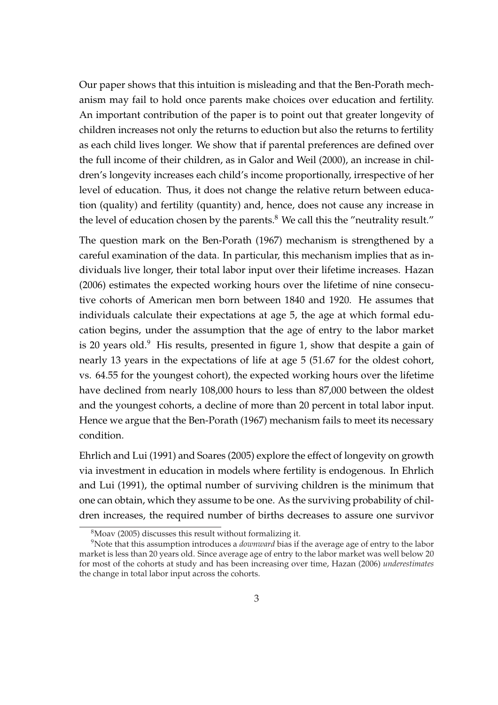Our paper shows that this intuition is misleading and that the Ben-Porath mechanism may fail to hold once parents make choices over education and fertility. An important contribution of the paper is to point out that greater longevity of children increases not only the returns to eduction but also the returns to fertility as each child lives longer. We show that if parental preferences are defined over the full income of their children, as in Galor and Weil (2000), an increase in children's longevity increases each child's income proportionally, irrespective of her level of education. Thus, it does not change the relative return between education (quality) and fertility (quantity) and, hence, does not cause any increase in the level of education chosen by the parents. $8$  We call this the "neutrality result."

The question mark on the Ben-Porath (1967) mechanism is strengthened by a careful examination of the data. In particular, this mechanism implies that as individuals live longer, their total labor input over their lifetime increases. Hazan (2006) estimates the expected working hours over the lifetime of nine consecutive cohorts of American men born between 1840 and 1920. He assumes that individuals calculate their expectations at age 5, the age at which formal education begins, under the assumption that the age of entry to the labor market is 20 years old.<sup>9</sup> His results, presented in figure 1, show that despite a gain of nearly 13 years in the expectations of life at age 5 (51.67 for the oldest cohort, vs. 64.55 for the youngest cohort), the expected working hours over the lifetime have declined from nearly 108,000 hours to less than 87,000 between the oldest and the youngest cohorts, a decline of more than 20 percent in total labor input. Hence we argue that the Ben-Porath (1967) mechanism fails to meet its necessary condition.

Ehrlich and Lui (1991) and Soares (2005) explore the effect of longevity on growth via investment in education in models where fertility is endogenous. In Ehrlich and Lui (1991), the optimal number of surviving children is the minimum that one can obtain, which they assume to be one. As the surviving probability of children increases, the required number of births decreases to assure one survivor

 $8$ Moav (2005) discusses this result without formalizing it.

<sup>9</sup>Note that this assumption introduces a *downward* bias if the average age of entry to the labor market is less than 20 years old. Since average age of entry to the labor market was well below 20 for most of the cohorts at study and has been increasing over time, Hazan (2006) *underestimates* the change in total labor input across the cohorts.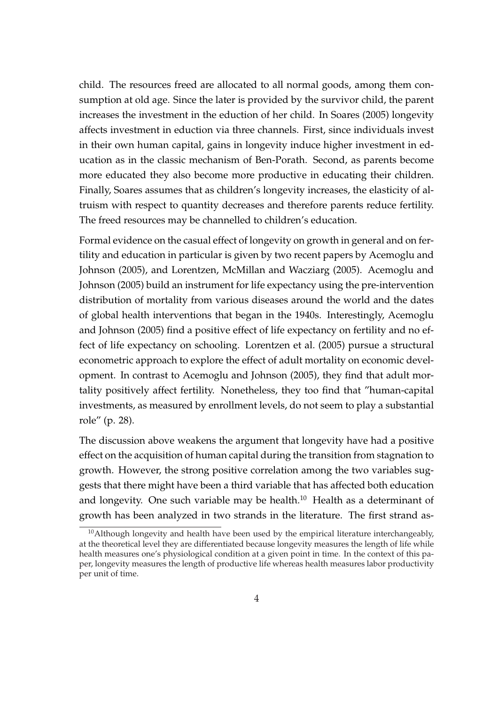child. The resources freed are allocated to all normal goods, among them consumption at old age. Since the later is provided by the survivor child, the parent increases the investment in the eduction of her child. In Soares (2005) longevity affects investment in eduction via three channels. First, since individuals invest in their own human capital, gains in longevity induce higher investment in education as in the classic mechanism of Ben-Porath. Second, as parents become more educated they also become more productive in educating their children. Finally, Soares assumes that as children's longevity increases, the elasticity of altruism with respect to quantity decreases and therefore parents reduce fertility. The freed resources may be channelled to children's education.

Formal evidence on the casual effect of longevity on growth in general and on fertility and education in particular is given by two recent papers by Acemoglu and Johnson (2005), and Lorentzen, McMillan and Wacziarg (2005). Acemoglu and Johnson (2005) build an instrument for life expectancy using the pre-intervention distribution of mortality from various diseases around the world and the dates of global health interventions that began in the 1940s. Interestingly, Acemoglu and Johnson (2005) find a positive effect of life expectancy on fertility and no effect of life expectancy on schooling. Lorentzen et al. (2005) pursue a structural econometric approach to explore the effect of adult mortality on economic development. In contrast to Acemoglu and Johnson (2005), they find that adult mortality positively affect fertility. Nonetheless, they too find that "human-capital investments, as measured by enrollment levels, do not seem to play a substantial role" (p. 28).

The discussion above weakens the argument that longevity have had a positive effect on the acquisition of human capital during the transition from stagnation to growth. However, the strong positive correlation among the two variables suggests that there might have been a third variable that has affected both education and longevity. One such variable may be health. $10$  Health as a determinant of growth has been analyzed in two strands in the literature. The first strand as-

 $10$ Although longevity and health have been used by the empirical literature interchangeably, at the theoretical level they are differentiated because longevity measures the length of life while health measures one's physiological condition at a given point in time. In the context of this paper, longevity measures the length of productive life whereas health measures labor productivity per unit of time.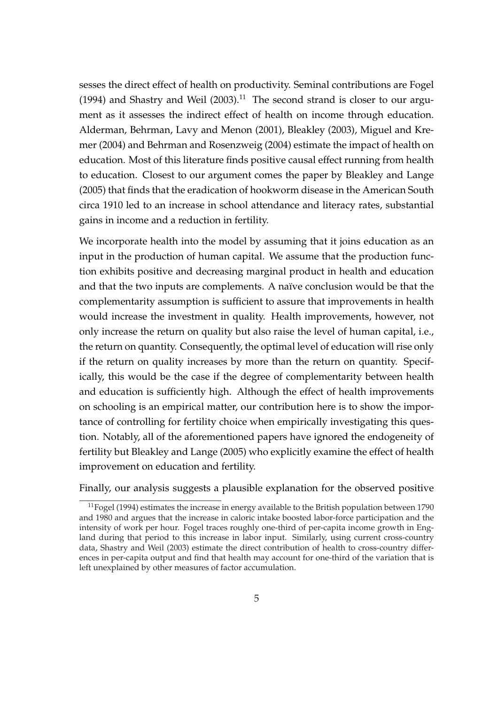sesses the direct effect of health on productivity. Seminal contributions are Fogel (1994) and Shastry and Weil  $(2003).<sup>11</sup>$  The second strand is closer to our argument as it assesses the indirect effect of health on income through education. Alderman, Behrman, Lavy and Menon (2001), Bleakley (2003), Miguel and Kremer (2004) and Behrman and Rosenzweig (2004) estimate the impact of health on education. Most of this literature finds positive causal effect running from health to education. Closest to our argument comes the paper by Bleakley and Lange (2005) that finds that the eradication of hookworm disease in the American South circa 1910 led to an increase in school attendance and literacy rates, substantial gains in income and a reduction in fertility.

We incorporate health into the model by assuming that it joins education as an input in the production of human capital. We assume that the production function exhibits positive and decreasing marginal product in health and education and that the two inputs are complements. A naïve conclusion would be that the complementarity assumption is sufficient to assure that improvements in health would increase the investment in quality. Health improvements, however, not only increase the return on quality but also raise the level of human capital, i.e., the return on quantity. Consequently, the optimal level of education will rise only if the return on quality increases by more than the return on quantity. Specifically, this would be the case if the degree of complementarity between health and education is sufficiently high. Although the effect of health improvements on schooling is an empirical matter, our contribution here is to show the importance of controlling for fertility choice when empirically investigating this question. Notably, all of the aforementioned papers have ignored the endogeneity of fertility but Bleakley and Lange (2005) who explicitly examine the effect of health improvement on education and fertility.

Finally, our analysis suggests a plausible explanation for the observed positive

 $11$  Fogel (1994) estimates the increase in energy available to the British population between 1790 and 1980 and argues that the increase in caloric intake boosted labor-force participation and the intensity of work per hour. Fogel traces roughly one-third of per-capita income growth in England during that period to this increase in labor input. Similarly, using current cross-country data, Shastry and Weil (2003) estimate the direct contribution of health to cross-country differences in per-capita output and find that health may account for one-third of the variation that is left unexplained by other measures of factor accumulation.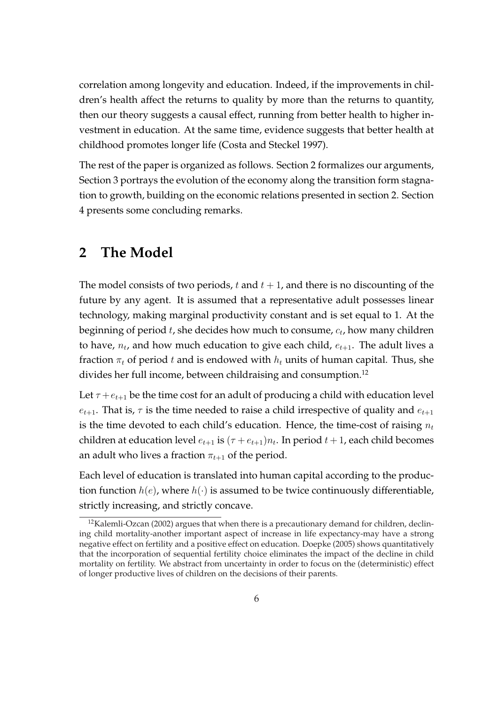correlation among longevity and education. Indeed, if the improvements in children's health affect the returns to quality by more than the returns to quantity, then our theory suggests a causal effect, running from better health to higher investment in education. At the same time, evidence suggests that better health at childhood promotes longer life (Costa and Steckel 1997).

The rest of the paper is organized as follows. Section 2 formalizes our arguments, Section 3 portrays the evolution of the economy along the transition form stagnation to growth, building on the economic relations presented in section 2. Section 4 presents some concluding remarks.

## **2 The Model**

The model consists of two periods, t and  $t + 1$ , and there is no discounting of the future by any agent. It is assumed that a representative adult possesses linear technology, making marginal productivity constant and is set equal to 1. At the beginning of period  $t$ , she decides how much to consume,  $c_t$ , how many children to have,  $n_t$ , and how much education to give each child,  $e_{t+1}$ . The adult lives a fraction  $\pi_t$  of period t and is endowed with  $h_t$  units of human capital. Thus, she divides her full income, between childraising and consumption.<sup>12</sup>

Let  $\tau + e_{t+1}$  be the time cost for an adult of producing a child with education level  $e_{t+1}$ . That is,  $\tau$  is the time needed to raise a child irrespective of quality and  $e_{t+1}$ is the time devoted to each child's education. Hence, the time-cost of raising  $n_t$ children at education level  $e_{t+1}$  is  $(\tau + e_{t+1})n_t$ . In period  $t+1$ , each child becomes an adult who lives a fraction  $\pi_{t+1}$  of the period.

Each level of education is translated into human capital according to the production function  $h(e)$ , where  $h(\cdot)$  is assumed to be twice continuously differentiable, strictly increasing, and strictly concave.

 $12$ Kalemli-Ozcan (2002) argues that when there is a precautionary demand for children, declining child mortality-another important aspect of increase in life expectancy-may have a strong negative effect on fertility and a positive effect on education. Doepke (2005) shows quantitatively that the incorporation of sequential fertility choice eliminates the impact of the decline in child mortality on fertility. We abstract from uncertainty in order to focus on the (deterministic) effect of longer productive lives of children on the decisions of their parents.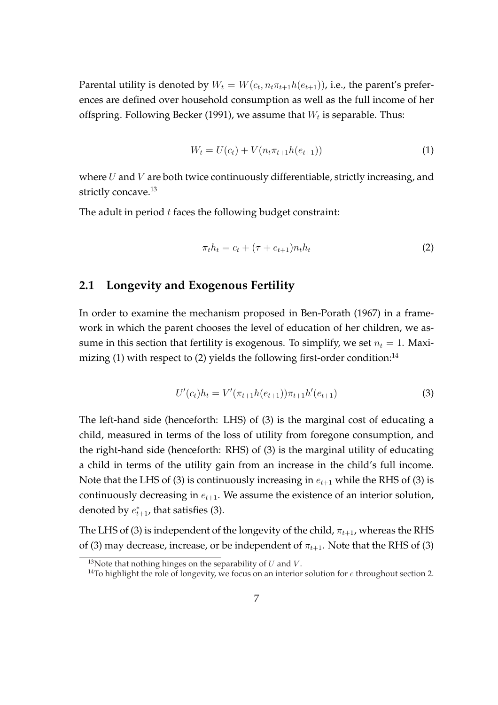Parental utility is denoted by  $W_t = W(c_t, n_t \pi_{t+1} h(e_{t+1}))$ , i.e., the parent's preferences are defined over household consumption as well as the full income of her offspring. Following Becker (1991), we assume that  $W_t$  is separable. Thus:

$$
W_t = U(c_t) + V(n_t \pi_{t+1} h(e_{t+1}))
$$
\n(1)

where  $U$  and  $V$  are both twice continuously differentiable, strictly increasing, and strictly concave.<sup>13</sup>

The adult in period  $t$  faces the following budget constraint:

$$
\pi_t h_t = c_t + (\tau + e_{t+1}) n_t h_t \tag{2}
$$

#### **2.1 Longevity and Exogenous Fertility**

In order to examine the mechanism proposed in Ben-Porath (1967) in a framework in which the parent chooses the level of education of her children, we assume in this section that fertility is exogenous. To simplify, we set  $n_t = 1$ . Maximizing (1) with respect to (2) yields the following first-order condition:<sup>14</sup>

$$
U'(c_t)h_t = V'(\pi_{t+1}h(e_{t+1}))\pi_{t+1}h'(e_{t+1})
$$
\n(3)

The left-hand side (henceforth: LHS) of (3) is the marginal cost of educating a child, measured in terms of the loss of utility from foregone consumption, and the right-hand side (henceforth: RHS) of (3) is the marginal utility of educating a child in terms of the utility gain from an increase in the child's full income. Note that the LHS of (3) is continuously increasing in  $e_{t+1}$  while the RHS of (3) is continuously decreasing in  $e_{t+1}$ . We assume the existence of an interior solution, denoted by  $e_{t+1}^*$ , that satisfies (3).

The LHS of (3) is independent of the longevity of the child,  $\pi_{t+1}$ , whereas the RHS of (3) may decrease, increase, or be independent of  $\pi_{t+1}$ . Note that the RHS of (3)

<sup>&</sup>lt;sup>13</sup>Note that nothing hinges on the separability of  $U$  and  $V$ .

<sup>&</sup>lt;sup>14</sup>To highlight the role of longevity, we focus on an interior solution for  $e$  throughout section 2.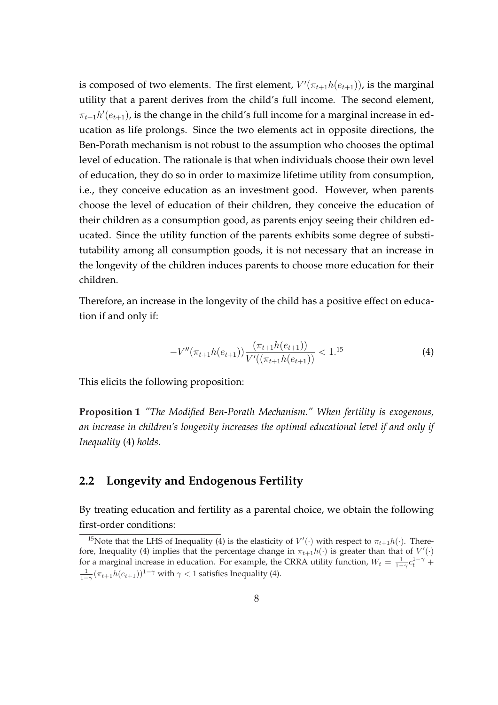is composed of two elements. The first element,  $V'(\pi_{t+1}h(e_{t+1}))$ , is the marginal utility that a parent derives from the child's full income. The second element,  $\pi_{t+1} h'(e_{t+1})$ , is the change in the child's full income for a marginal increase in education as life prolongs. Since the two elements act in opposite directions, the Ben-Porath mechanism is not robust to the assumption who chooses the optimal level of education. The rationale is that when individuals choose their own level of education, they do so in order to maximize lifetime utility from consumption, i.e., they conceive education as an investment good. However, when parents choose the level of education of their children, they conceive the education of their children as a consumption good, as parents enjoy seeing their children educated. Since the utility function of the parents exhibits some degree of substitutability among all consumption goods, it is not necessary that an increase in the longevity of the children induces parents to choose more education for their children.

Therefore, an increase in the longevity of the child has a positive effect on education if and only if:

$$
-V''(\pi_{t+1}h(e_{t+1}))\frac{(\pi_{t+1}h(e_{t+1}))}{V'((\pi_{t+1}h(e_{t+1}))} < 1.15\tag{4}
$$

This elicits the following proposition:

**Proposition 1** *"The Modified Ben-Porath Mechanism." When fertility is exogenous, an increase in children's longevity increases the optimal educational level if and only if Inequality* (4) *holds.*

#### **2.2 Longevity and Endogenous Fertility**

By treating education and fertility as a parental choice, we obtain the following first-order conditions:

<sup>&</sup>lt;sup>15</sup>Note that the LHS of Inequality (4) is the elasticity of  $V'(\cdot)$  with respect to  $\pi_{t+1}h(\cdot)$ . Therefore, Inequality (4) implies that the percentage change in  $\pi_{t+1}h(\cdot)$  is greater than that of  $V'(\cdot)$ for a marginal increase in education. For example, the CRRA utility function,  $W_t = \frac{1}{1-\gamma} c_t^{1-\gamma} +$  $\frac{1}{1-\gamma}(\pi_{t+1}h(e_{t+1}))^{1-\gamma}$  with  $\gamma < 1$  satisfies Inequality (4).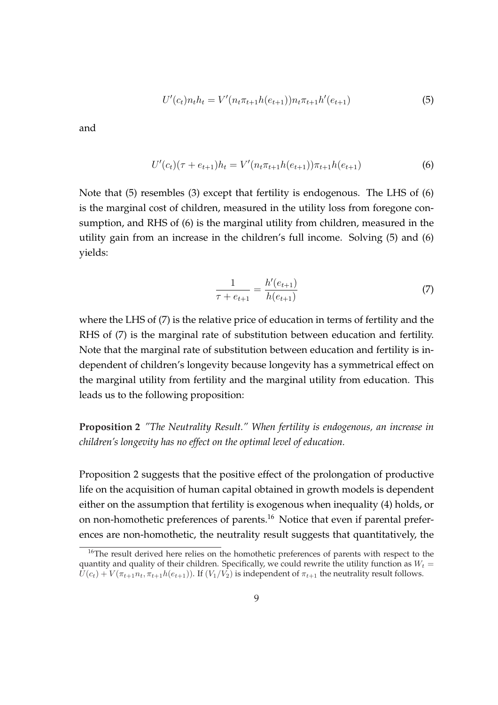$$
U'(c_t)n_t h_t = V'(n_t \pi_{t+1} h(e_{t+1})) n_t \pi_{t+1} h'(e_{t+1})
$$
\n
$$
(5)
$$

and

$$
U'(c_t)(\tau + e_{t+1})h_t = V'(n_t \pi_{t+1} h(e_{t+1}))\pi_{t+1} h(e_{t+1})
$$
\n(6)

Note that (5) resembles (3) except that fertility is endogenous. The LHS of (6) is the marginal cost of children, measured in the utility loss from foregone consumption, and RHS of (6) is the marginal utility from children, measured in the utility gain from an increase in the children's full income. Solving (5) and (6) yields:

$$
\frac{1}{\tau + e_{t+1}} = \frac{h'(e_{t+1})}{h(e_{t+1})}
$$
\n(7)

where the LHS of (7) is the relative price of education in terms of fertility and the RHS of (7) is the marginal rate of substitution between education and fertility. Note that the marginal rate of substitution between education and fertility is independent of children's longevity because longevity has a symmetrical effect on the marginal utility from fertility and the marginal utility from education. This leads us to the following proposition:

**Proposition 2** *"The Neutrality Result." When fertility is endogenous, an increase in children's longevity has no effect on the optimal level of education.*

Proposition 2 suggests that the positive effect of the prolongation of productive life on the acquisition of human capital obtained in growth models is dependent either on the assumption that fertility is exogenous when inequality (4) holds, or on non-homothetic preferences of parents.<sup>16</sup> Notice that even if parental preferences are non-homothetic, the neutrality result suggests that quantitatively, the

<sup>&</sup>lt;sup>16</sup>The result derived here relies on the homothetic preferences of parents with respect to the quantity and quality of their children. Specifically, we could rewrite the utility function as  $W_t =$  $U(c_t) + V(\pi_{t+1}n_t, \pi_{t+1}h(e_{t+1}))$ . If  $(V_1/V_2)$  is independent of  $\pi_{t+1}$  the neutrality result follows.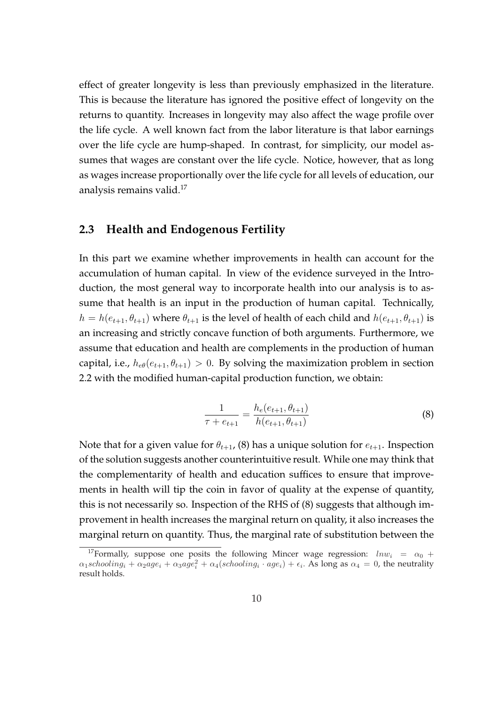effect of greater longevity is less than previously emphasized in the literature. This is because the literature has ignored the positive effect of longevity on the returns to quantity. Increases in longevity may also affect the wage profile over the life cycle. A well known fact from the labor literature is that labor earnings over the life cycle are hump-shaped. In contrast, for simplicity, our model assumes that wages are constant over the life cycle. Notice, however, that as long as wages increase proportionally over the life cycle for all levels of education, our analysis remains valid.<sup>17</sup>

#### **2.3 Health and Endogenous Fertility**

In this part we examine whether improvements in health can account for the accumulation of human capital. In view of the evidence surveyed in the Introduction, the most general way to incorporate health into our analysis is to assume that health is an input in the production of human capital. Technically,  $h = h(e_{t+1}, \theta_{t+1})$  where  $\theta_{t+1}$  is the level of health of each child and  $h(e_{t+1}, \theta_{t+1})$  is an increasing and strictly concave function of both arguments. Furthermore, we assume that education and health are complements in the production of human capital, i.e.,  $h_{e\theta}(e_{t+1}, \theta_{t+1}) > 0$ . By solving the maximization problem in section 2.2 with the modified human-capital production function, we obtain:

$$
\frac{1}{\tau + e_{t+1}} = \frac{h_e(e_{t+1}, \theta_{t+1})}{h(e_{t+1}, \theta_{t+1})}
$$
(8)

Note that for a given value for  $\theta_{t+1}$ , (8) has a unique solution for  $e_{t+1}$ . Inspection of the solution suggests another counterintuitive result. While one may think that the complementarity of health and education suffices to ensure that improvements in health will tip the coin in favor of quality at the expense of quantity, this is not necessarily so. Inspection of the RHS of (8) suggests that although improvement in health increases the marginal return on quality, it also increases the marginal return on quantity. Thus, the marginal rate of substitution between the

<sup>&</sup>lt;sup>17</sup>Formally, suppose one posits the following Mincer wage regression:  $lnw_i = \alpha_0 +$  $\alpha_1$ schooling<sub>i</sub> +  $\alpha_2$ age<sub>i</sub> +  $\alpha_3$ age<sup>2</sup><sub>i</sub> +  $\alpha_4$ (schooling<sub>i</sub> · age<sub>i</sub>) +  $\epsilon_i$ . As long as  $\alpha_4 = 0$ , the neutrality result holds.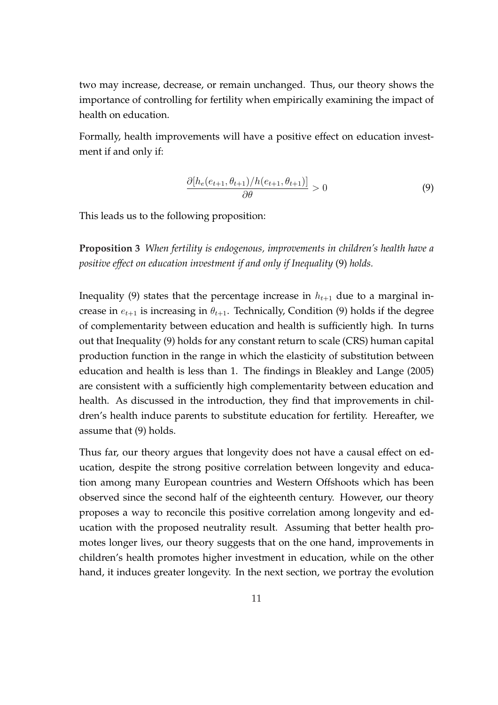two may increase, decrease, or remain unchanged. Thus, our theory shows the importance of controlling for fertility when empirically examining the impact of health on education.

Formally, health improvements will have a positive effect on education investment if and only if:

$$
\frac{\partial [h_e(e_{t+1}, \theta_{t+1})/h(e_{t+1}, \theta_{t+1})]}{\partial \theta} > 0
$$
\n(9)

This leads us to the following proposition:

**Proposition 3** *When fertility is endogenous, improvements in children's health have a positive effect on education investment if and only if Inequality* (9) *holds.*

Inequality (9) states that the percentage increase in  $h_{t+1}$  due to a marginal increase in  $e_{t+1}$  is increasing in  $\theta_{t+1}$ . Technically, Condition (9) holds if the degree of complementarity between education and health is sufficiently high. In turns out that Inequality (9) holds for any constant return to scale (CRS) human capital production function in the range in which the elasticity of substitution between education and health is less than 1. The findings in Bleakley and Lange (2005) are consistent with a sufficiently high complementarity between education and health. As discussed in the introduction, they find that improvements in children's health induce parents to substitute education for fertility. Hereafter, we assume that (9) holds.

Thus far, our theory argues that longevity does not have a causal effect on education, despite the strong positive correlation between longevity and education among many European countries and Western Offshoots which has been observed since the second half of the eighteenth century. However, our theory proposes a way to reconcile this positive correlation among longevity and education with the proposed neutrality result. Assuming that better health promotes longer lives, our theory suggests that on the one hand, improvements in children's health promotes higher investment in education, while on the other hand, it induces greater longevity. In the next section, we portray the evolution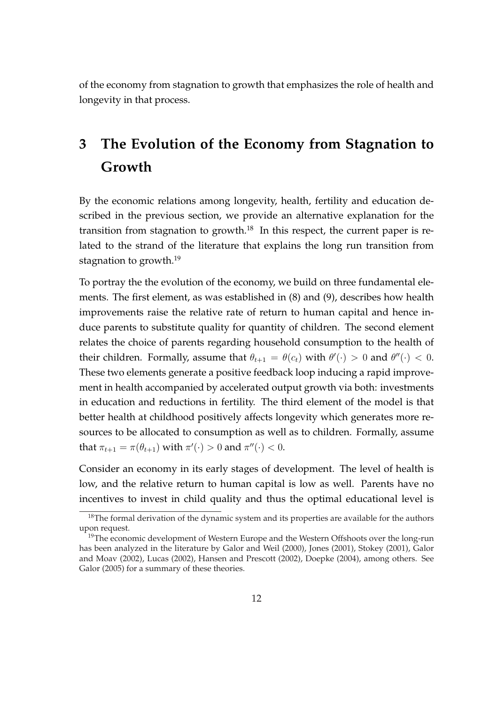of the economy from stagnation to growth that emphasizes the role of health and longevity in that process.

## **3 The Evolution of the Economy from Stagnation to Growth**

By the economic relations among longevity, health, fertility and education described in the previous section, we provide an alternative explanation for the transition from stagnation to growth.<sup>18</sup> In this respect, the current paper is related to the strand of the literature that explains the long run transition from stagnation to growth.<sup>19</sup>

To portray the the evolution of the economy, we build on three fundamental elements. The first element, as was established in (8) and (9), describes how health improvements raise the relative rate of return to human capital and hence induce parents to substitute quality for quantity of children. The second element relates the choice of parents regarding household consumption to the health of their children. Formally, assume that  $\theta_{t+1} = \theta(c_t)$  with  $\theta'(\cdot) > 0$  and  $\theta''(\cdot) < 0$ . These two elements generate a positive feedback loop inducing a rapid improvement in health accompanied by accelerated output growth via both: investments in education and reductions in fertility. The third element of the model is that better health at childhood positively affects longevity which generates more resources to be allocated to consumption as well as to children. Formally, assume that  $\pi_{t+1} = \pi(\theta_{t+1})$  with  $\pi'(\cdot) > 0$  and  $\pi''(\cdot) < 0$ .

Consider an economy in its early stages of development. The level of health is low, and the relative return to human capital is low as well. Parents have no incentives to invest in child quality and thus the optimal educational level is

 $18$ The formal derivation of the dynamic system and its properties are available for the authors upon request.

<sup>&</sup>lt;sup>19</sup>The economic development of Western Europe and the Western Offshoots over the long-run has been analyzed in the literature by Galor and Weil (2000), Jones (2001), Stokey (2001), Galor and Moav (2002), Lucas (2002), Hansen and Prescott (2002), Doepke (2004), among others. See Galor (2005) for a summary of these theories.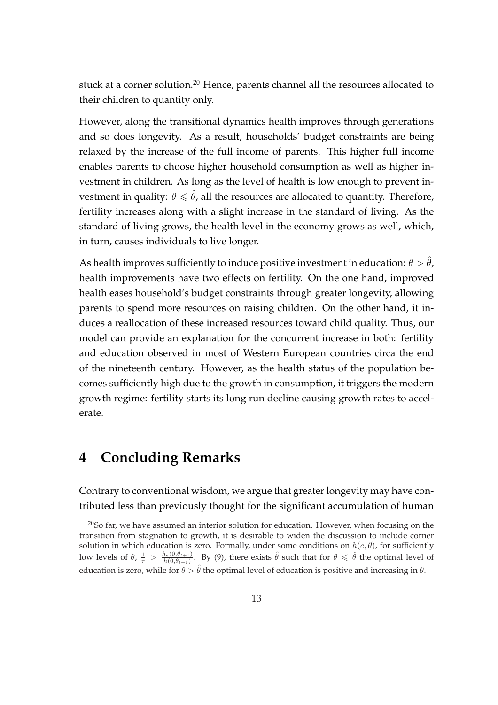stuck at a corner solution.<sup>20</sup> Hence, parents channel all the resources allocated to their children to quantity only.

However, along the transitional dynamics health improves through generations and so does longevity. As a result, households' budget constraints are being relaxed by the increase of the full income of parents. This higher full income enables parents to choose higher household consumption as well as higher investment in children. As long as the level of health is low enough to prevent investment in quality:  $\theta \leq \hat{\theta}$ , all the resources are allocated to quantity. Therefore, fertility increases along with a slight increase in the standard of living. As the standard of living grows, the health level in the economy grows as well, which, in turn, causes individuals to live longer.

As health improves sufficiently to induce positive investment in education:  $\theta > \theta$ , health improvements have two effects on fertility. On the one hand, improved health eases household's budget constraints through greater longevity, allowing parents to spend more resources on raising children. On the other hand, it induces a reallocation of these increased resources toward child quality. Thus, our model can provide an explanation for the concurrent increase in both: fertility and education observed in most of Western European countries circa the end of the nineteenth century. However, as the health status of the population becomes sufficiently high due to the growth in consumption, it triggers the modern growth regime: fertility starts its long run decline causing growth rates to accelerate.

## **4 Concluding Remarks**

Contrary to conventional wisdom, we argue that greater longevity may have contributed less than previously thought for the significant accumulation of human

 $20$ So far, we have assumed an interior solution for education. However, when focusing on the transition from stagnation to growth, it is desirable to widen the discussion to include corner solution in which education is zero. Formally, under some conditions on  $h(e, \theta)$ , for sufficiently low levels of  $\theta$ ,  $\frac{1}{\tau} > \frac{h_e(0, \theta_{t+1})}{h(0, \theta_{t+1})}$  $\frac{h_{e}(0,\theta_{t+1})}{h(0,\theta_{t+1})}$ . By (9), there exists  $\hat{\theta}$  such that for  $\theta \leq \hat{\theta}$  the optimal level of education is zero, while for  $\theta > \hat{\theta}$  the optimal level of education is positive and increasing in  $\theta$ .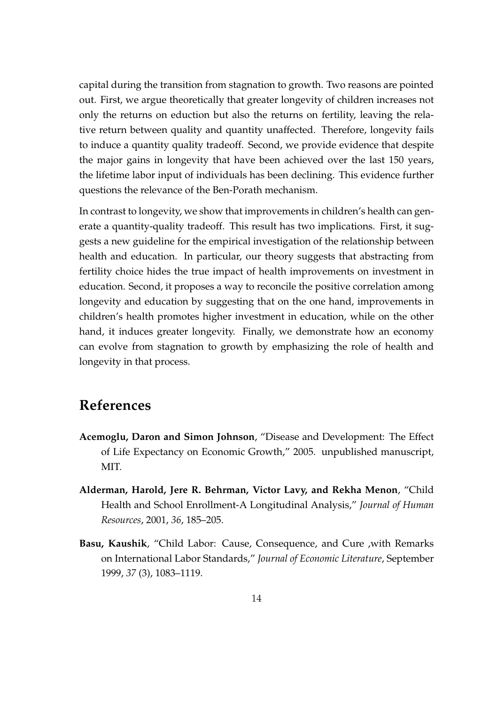capital during the transition from stagnation to growth. Two reasons are pointed out. First, we argue theoretically that greater longevity of children increases not only the returns on eduction but also the returns on fertility, leaving the relative return between quality and quantity unaffected. Therefore, longevity fails to induce a quantity quality tradeoff. Second, we provide evidence that despite the major gains in longevity that have been achieved over the last 150 years, the lifetime labor input of individuals has been declining. This evidence further questions the relevance of the Ben-Porath mechanism.

In contrast to longevity, we show that improvements in children's health can generate a quantity-quality tradeoff. This result has two implications. First, it suggests a new guideline for the empirical investigation of the relationship between health and education. In particular, our theory suggests that abstracting from fertility choice hides the true impact of health improvements on investment in education. Second, it proposes a way to reconcile the positive correlation among longevity and education by suggesting that on the one hand, improvements in children's health promotes higher investment in education, while on the other hand, it induces greater longevity. Finally, we demonstrate how an economy can evolve from stagnation to growth by emphasizing the role of health and longevity in that process.

## **References**

- **Acemoglu, Daron and Simon Johnson**, "Disease and Development: The Effect of Life Expectancy on Economic Growth," 2005. unpublished manuscript, MIT.
- **Alderman, Harold, Jere R. Behrman, Victor Lavy, and Rekha Menon**, "Child Health and School Enrollment-A Longitudinal Analysis," *Journal of Human Resources*, 2001, *36*, 185–205.
- **Basu, Kaushik**, "Child Labor: Cause, Consequence, and Cure ,with Remarks on International Labor Standards," *Journal of Economic Literature*, September 1999, *37* (3), 1083–1119.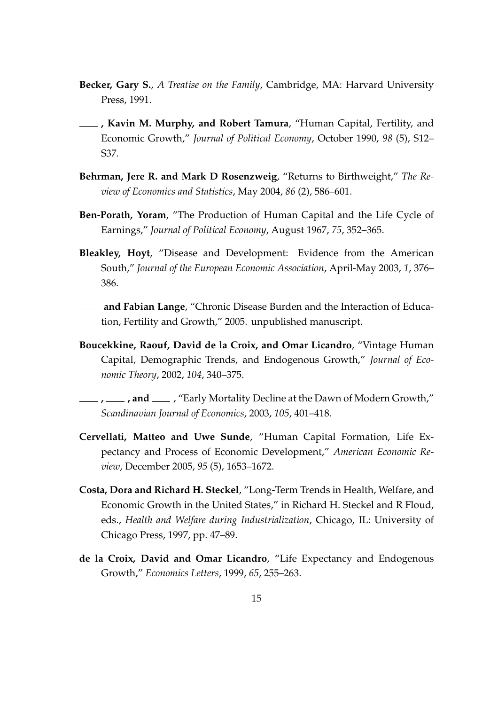- **Becker, Gary S.**, *A Treatise on the Family*, Cambridge, MA: Harvard University Press, 1991.
- **, Kavin M. Murphy, and Robert Tamura**, "Human Capital, Fertility, and Economic Growth," *Journal of Political Economy*, October 1990, *98* (5), S12– S37.
- **Behrman, Jere R. and Mark D Rosenzweig**, "Returns to Birthweight," *The Review of Economics and Statistics*, May 2004, *86* (2), 586–601.
- **Ben-Porath, Yoram**, "The Production of Human Capital and the Life Cycle of Earnings," *Journal of Political Economy*, August 1967, *75*, 352–365.
- **Bleakley, Hoyt**, "Disease and Development: Evidence from the American South," *Journal of the European Economic Association*, April-May 2003, *1*, 376– 386.
- **and Fabian Lange**, "Chronic Disease Burden and the Interaction of Education, Fertility and Growth," 2005. unpublished manuscript.
- **Boucekkine, Raouf, David de la Croix, and Omar Licandro**, "Vintage Human Capital, Demographic Trends, and Endogenous Growth," *Journal of Economic Theory*, 2002, *104*, 340–375.
- **, and \_\_\_**, "Early Mortality Decline at the Dawn of Modern Growth," *Scandinavian Journal of Economics*, 2003, *105*, 401–418.
- **Cervellati, Matteo and Uwe Sunde**, "Human Capital Formation, Life Expectancy and Process of Economic Development," *American Economic Review*, December 2005, *95* (5), 1653–1672.
- **Costa, Dora and Richard H. Steckel**, "Long-Term Trends in Health, Welfare, and Economic Growth in the United States," in Richard H. Steckel and R Floud, eds., *Health and Welfare during Industrialization*, Chicago, IL: University of Chicago Press, 1997, pp. 47–89.
- **de la Croix, David and Omar Licandro**, "Life Expectancy and Endogenous Growth," *Economics Letters*, 1999, *65*, 255–263.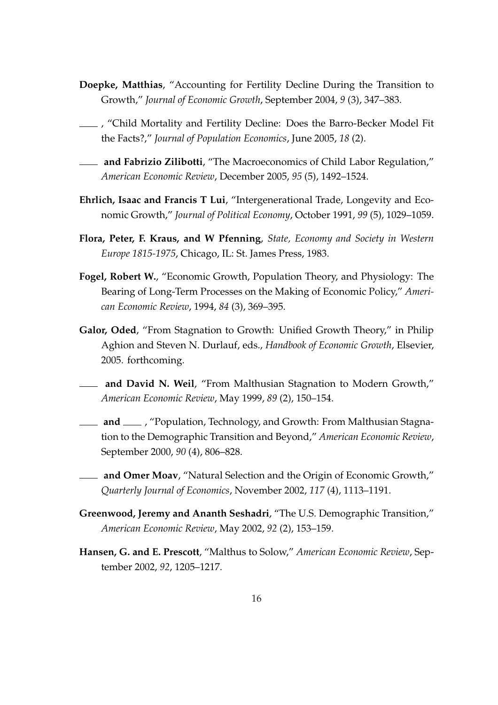- **Doepke, Matthias**, "Accounting for Fertility Decline During the Transition to Growth," *Journal of Economic Growth*, September 2004, *9* (3), 347–383.
- , "Child Mortality and Fertility Decline: Does the Barro-Becker Model Fit the Facts?," *Journal of Population Economics*, June 2005, *18* (2).
- **and Fabrizio Zilibotti**, "The Macroeconomics of Child Labor Regulation," *American Economic Review*, December 2005, *95* (5), 1492–1524.
- **Ehrlich, Isaac and Francis T Lui**, "Intergenerational Trade, Longevity and Economic Growth," *Journal of Political Economy*, October 1991, *99* (5), 1029–1059.
- **Flora, Peter, F. Kraus, and W Pfenning**, *State, Economy and Society in Western Europe 1815-1975*, Chicago, IL: St. James Press, 1983.
- **Fogel, Robert W.**, "Economic Growth, Population Theory, and Physiology: The Bearing of Long-Term Processes on the Making of Economic Policy," *American Economic Review*, 1994, *84* (3), 369–395.
- **Galor, Oded**, "From Stagnation to Growth: Unified Growth Theory," in Philip Aghion and Steven N. Durlauf, eds., *Handbook of Economic Growth*, Elsevier, 2005. forthcoming.
- **and David N. Weil**, "From Malthusian Stagnation to Modern Growth," *American Economic Review*, May 1999, *89* (2), 150–154.
- **and** Fopulation, Technology, and Growth: From Malthusian Stagnation to the Demographic Transition and Beyond," *American Economic Review*, September 2000, *90* (4), 806–828.
- **and Omer Moav**, "Natural Selection and the Origin of Economic Growth," *Quarterly Journal of Economics*, November 2002, *117* (4), 1113–1191.
- **Greenwood, Jeremy and Ananth Seshadri**, "The U.S. Demographic Transition," *American Economic Review*, May 2002, *92* (2), 153–159.
- **Hansen, G. and E. Prescott**, "Malthus to Solow," *American Economic Review*, September 2002, *92*, 1205–1217.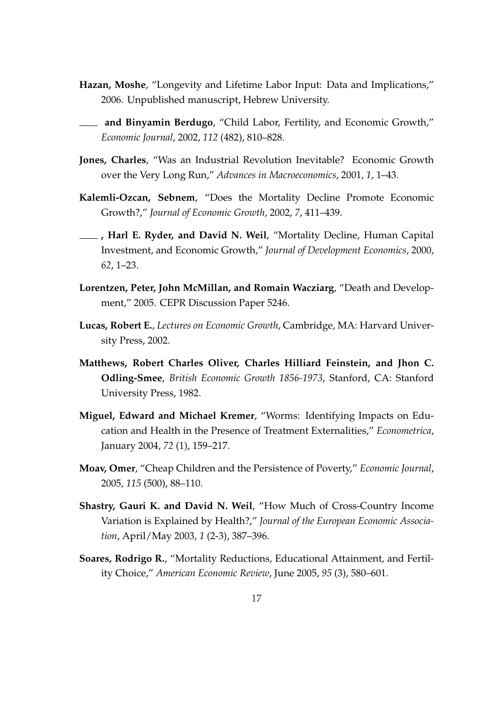- **Hazan, Moshe**, "Longevity and Lifetime Labor Input: Data and Implications," 2006. Unpublished manuscript, Hebrew University.
- **and Binyamin Berdugo**, "Child Labor, Fertility, and Economic Growth," *Economic Journal*, 2002, *112* (482), 810–828.
- **Jones, Charles**, "Was an Industrial Revolution Inevitable? Economic Growth over the Very Long Run," *Advances in Macroeconomics*, 2001, *1*, 1–43.
- **Kalemli-Ozcan, Sebnem**, "Does the Mortality Decline Promote Economic Growth?," *Journal of Economic Growth*, 2002, *7*, 411–439.
- **, Harl E. Ryder, and David N. Weil**, "Mortality Decline, Human Capital Investment, and Economic Growth," *Journal of Development Economics*, 2000, *62*, 1–23.
- **Lorentzen, Peter, John McMillan, and Romain Wacziarg**, "Death and Development," 2005. CEPR Discussion Paper 5246.
- **Lucas, Robert E.**, *Lectures on Economic Growth*, Cambridge, MA: Harvard University Press, 2002.
- **Matthews, Robert Charles Oliver, Charles Hilliard Feinstein, and Jhon C. Odling-Smee**, *British Economic Growth 1856-1973*, Stanford, CA: Stanford University Press, 1982.
- **Miguel, Edward and Michael Kremer**, "Worms: Identifying Impacts on Education and Health in the Presence of Treatment Externalities," *Econometrica*, January 2004, *72* (1), 159–217.
- **Moav, Omer**, "Cheap Children and the Persistence of Poverty," *Economic Journal*, 2005, *115* (500), 88–110.
- **Shastry, Gauri K. and David N. Weil**, "How Much of Cross-Country Income Variation is Explained by Health?," *Journal of the European Economic Association*, April/May 2003, *1* (2-3), 387–396.
- **Soares, Rodrigo R.**, "Mortality Reductions, Educational Attainment, and Fertility Choice," *American Economic Review*, June 2005, *95* (3), 580–601.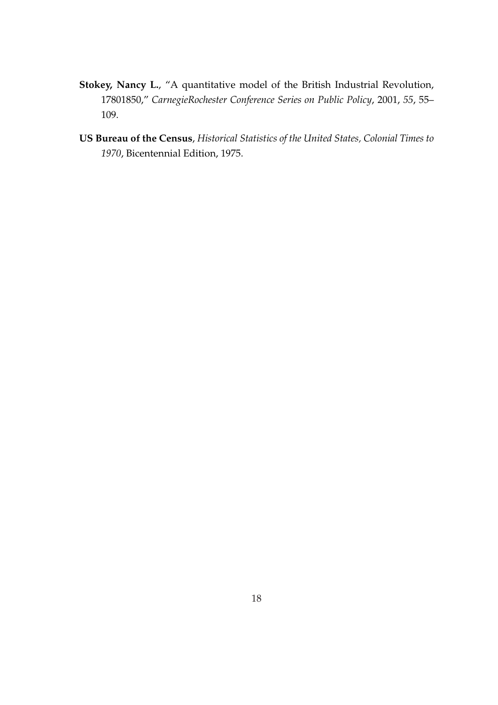- **Stokey, Nancy L.**, "A quantitative model of the British Industrial Revolution, 17801850," *CarnegieRochester Conference Series on Public Policy*, 2001, *55*, 55– 109.
- **US Bureau of the Census**, *Historical Statistics of the United States, Colonial Times to 1970*, Bicentennial Edition, 1975.